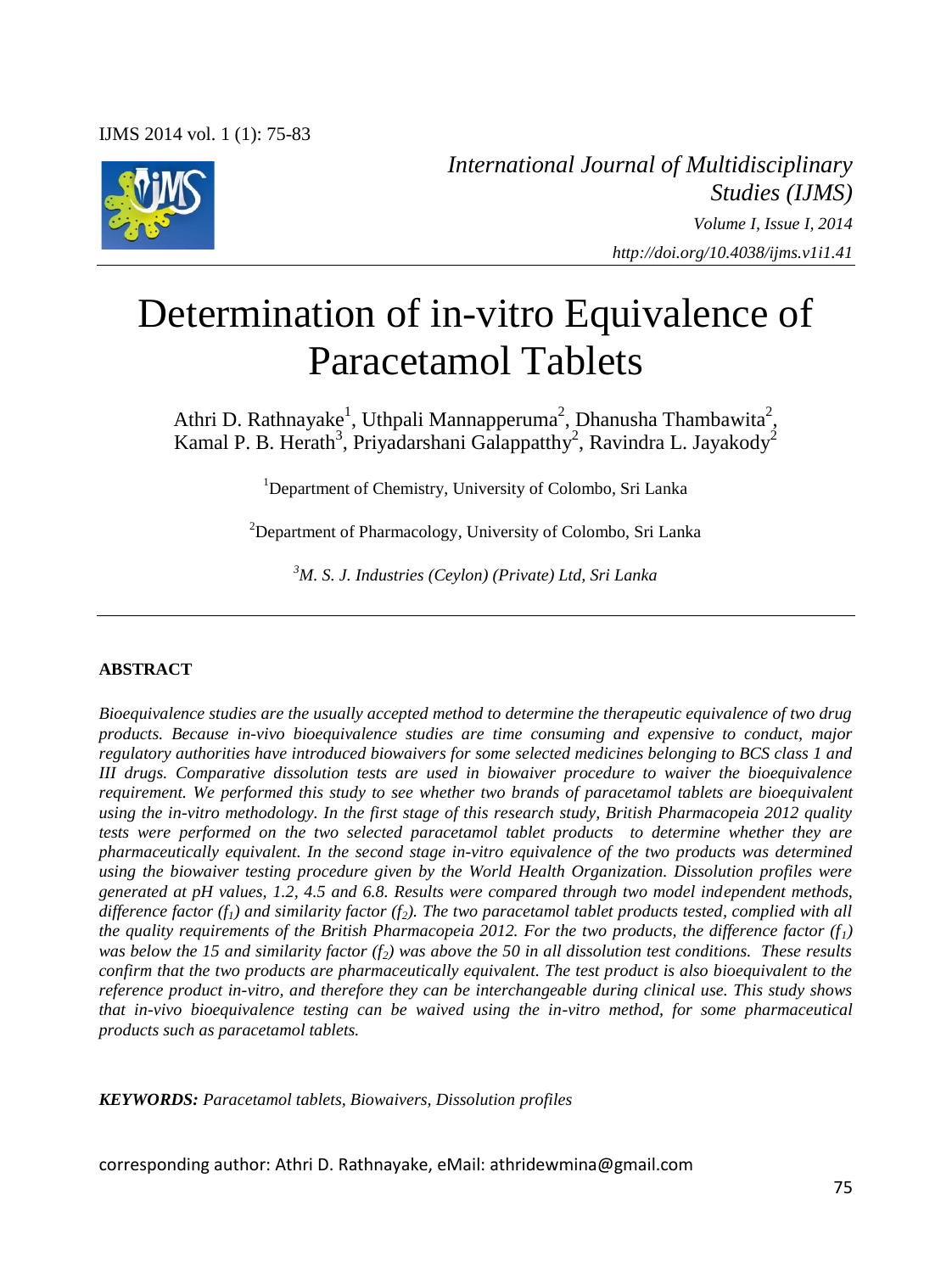

*International Journal of Multidisciplinary Studies (IJMS) Volume I, Issue I, 2014 http://doi.org/10.4038/ijms.v1i1.41*

# Determination of in-vitro Equivalence of Paracetamol Tablets

Athri D. Rathnayake<sup>1</sup>, Uthpali Mannapperuma<sup>2</sup>, Dhanusha Thambawita<sup>2</sup>, Kamal P. B. Herath<sup>3</sup>, Priyadarshani Galappatthy<sup>2</sup>, Ravindra L. Jayakody<sup>2</sup>

<sup>1</sup>Department of Chemistry, University of Colombo, Sri Lanka

 $2$ Department of Pharmacology, University of Colombo, Sri Lanka

*<sup>3</sup>M. S. J. Industries (Ceylon) (Private) Ltd, Sri Lanka*

#### **ABSTRACT**

*Bioequivalence studies are the usually accepted method to determine the therapeutic equivalence of two drug products. Because in-vivo bioequivalence studies are time consuming and expensive to conduct, major regulatory authorities have introduced biowaivers for some selected medicines belonging to BCS class 1 and III drugs. Comparative dissolution tests are used in biowaiver procedure to waiver the bioequivalence requirement. We performed this study to see whether two brands of paracetamol tablets are bioequivalent using the in-vitro methodology. In the first stage of this research study, British Pharmacopeia 2012 quality tests were performed on the two selected paracetamol tablet products to determine whether they are pharmaceutically equivalent. In the second stage in-vitro equivalence of the two products was determined using the biowaiver testing procedure given by the World Health Organization. Dissolution profiles were generated at pH values, 1.2, 4.5 and 6.8. Results were compared through two model independent methods, difference factor (f1) and similarity factor (f2). The two paracetamol tablet products tested, complied with all the quality requirements of the British Pharmacopeia 2012. For the two products, the difference factor*  $(f<sub>1</sub>)$ *was below the 15 and similarity factor (f2) was above the 50 in all dissolution test conditions. These results confirm that the two products are pharmaceutically equivalent. The test product is also bioequivalent to the reference product in-vitro, and therefore they can be interchangeable during clinical use. This study shows that in-vivo bioequivalence testing can be waived using the in-vitro method, for some pharmaceutical products such as paracetamol tablets.* 

*KEYWORDS: Paracetamol tablets, Biowaivers, Dissolution profiles*

corresponding author: Athri D. Rathnayake, eMail: athridewmina@gmail.com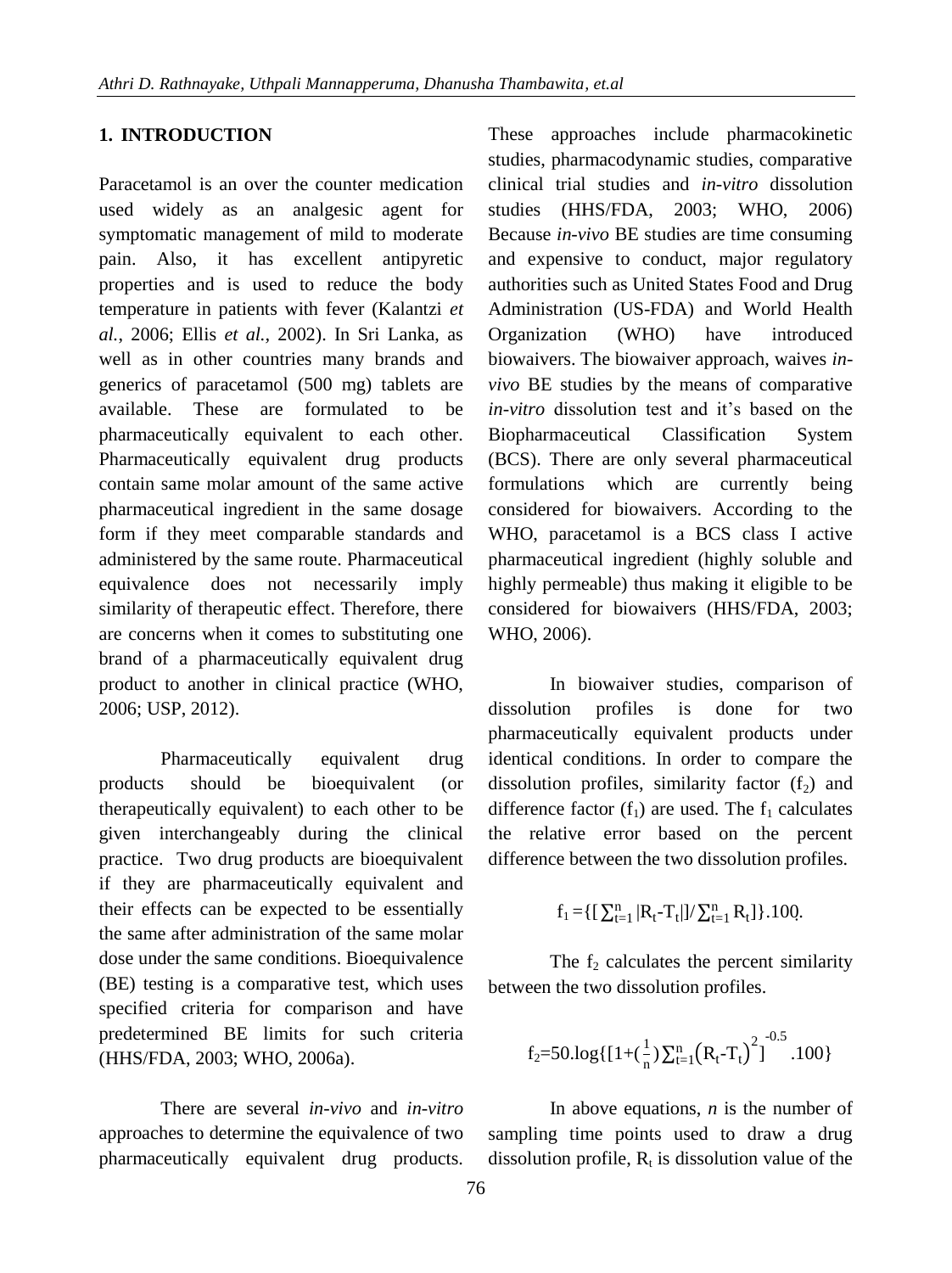## **1. INTRODUCTION**

Paracetamol is an over the counter medication used widely as an analgesic agent for symptomatic management of mild to moderate pain. Also, it has excellent antipyretic properties and is used to reduce the body temperature in patients with fever (Kalantzi *et al.*, 2006; Ellis *et al.,* 2002). In Sri Lanka, as well as in other countries many brands and generics of paracetamol (500 mg) tablets are available. These are formulated to be pharmaceutically equivalent to each other. Pharmaceutically equivalent drug products contain same molar amount of the same active pharmaceutical ingredient in the same dosage form if they meet comparable standards and administered by the same route. Pharmaceutical equivalence does not necessarily imply similarity of therapeutic effect. Therefore, there are concerns when it comes to substituting one brand of a pharmaceutically equivalent drug product to another in clinical practice (WHO, 2006; USP, 2012).

Pharmaceutically equivalent drug products should be bioequivalent (or therapeutically equivalent) to each other to be given interchangeably during the clinical practice. Two drug products are bioequivalent if they are pharmaceutically equivalent and their effects can be expected to be essentially the same after administration of the same molar dose under the same conditions. Bioequivalence (BE) testing is a comparative test, which uses specified criteria for comparison and have predetermined BE limits for such criteria (HHS/FDA, 2003; WHO, 2006a).

There are several *in-vivo* and *in-vitro* approaches to determine the equivalence of two pharmaceutically equivalent drug products.

These approaches include pharmacokinetic studies, pharmacodynamic studies, comparative clinical trial studies and *in-vitro* dissolution studies (HHS/FDA, 2003; WHO, 2006) Because *in-vivo* BE studies are time consuming and expensive to conduct, major regulatory authorities such as United States Food and Drug Administration (US-FDA) and World Health Organization (WHO) have introduced biowaivers. The biowaiver approach, waives *invivo* BE studies by the means of comparative *in-vitro* dissolution test and it's based on the Biopharmaceutical Classification System (BCS). There are only several pharmaceutical formulations which are currently being considered for biowaivers. According to the WHO, paracetamol is a BCS class I active pharmaceutical ingredient (highly soluble and highly permeable) thus making it eligible to be considered for biowaivers (HHS/FDA, 2003; WHO, 2006).

In biowaiver studies, comparison of dissolution profiles is done for two pharmaceutically equivalent products under identical conditions. In order to compare the dissolution profiles, similarity factor  $(f_2)$  and difference factor  $(f_1)$  are used. The  $f_1$  calculates the relative error based on the percent difference between the two dissolution profiles.

$$
f_1 = \{ [\ \sum_{t=1}^n |R_t - T_t|]/\sum_{t=1}^n R_t \} \} .100.
$$

The  $f_2$  calculates the percent similarity between the two dissolution profiles.

$$
f_2=50.log\{\left[1+(\frac{1}{n})\sum_{t=1}^n(R_t-T_t)^2\right]^{-0.5}.100\}
$$

In above equations, *n* is the number of sampling time points used to draw a drug dissolution profile,  $R_t$  is dissolution value of the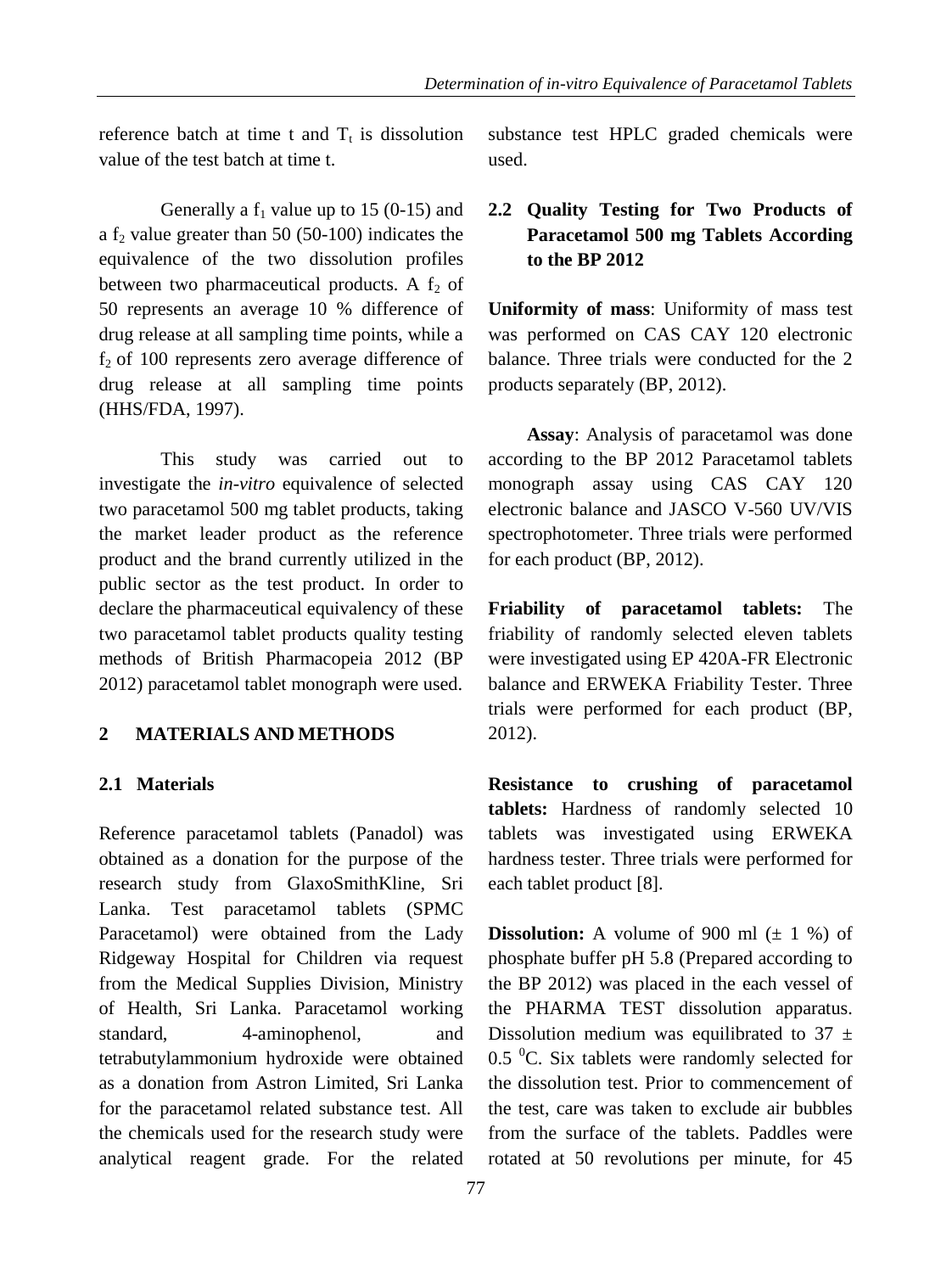reference batch at time t and  $T_t$  is dissolution value of the test batch at time t.

Generally a  $f_1$  value up to 15 (0-15) and a  $f<sub>2</sub>$  value greater than 50 (50-100) indicates the equivalence of the two dissolution profiles between two pharmaceutical products. A  $f_2$  of 50 represents an average 10 % difference of drug release at all sampling time points, while a  $f<sub>2</sub>$  of 100 represents zero average difference of drug release at all sampling time points (HHS/FDA, 1997).

This study was carried out to investigate the *in-vitro* equivalence of selected two paracetamol 500 mg tablet products, taking the market leader product as the reference product and the brand currently utilized in the public sector as the test product. In order to declare the pharmaceutical equivalency of these two paracetamol tablet products quality testing methods of British Pharmacopeia 2012 (BP 2012) paracetamol tablet monograph were used.

## **2 MATERIALS AND METHODS**

### **2.1 Materials**

Reference paracetamol tablets (Panadol) was obtained as a donation for the purpose of the research study from GlaxoSmithKline, Sri Lanka. Test paracetamol tablets (SPMC Paracetamol) were obtained from the Lady Ridgeway Hospital for Children via request from the Medical Supplies Division, Ministry of Health, Sri Lanka. Paracetamol working standard, 4-aminophenol, and tetrabutylammonium hydroxide were obtained as a donation from Astron Limited, Sri Lanka for the paracetamol related substance test. All the chemicals used for the research study were analytical reagent grade. For the related

substance test HPLC graded chemicals were used.

## **2.2 Quality Testing for Two Products of Paracetamol 500 mg Tablets According to the BP 2012**

**Uniformity of mass**: Uniformity of mass test was performed on CAS CAY 120 electronic balance. Three trials were conducted for the 2 products separately (BP, 2012).

**Assay**: Analysis of paracetamol was done according to the BP 2012 Paracetamol tablets monograph assay using CAS CAY 120 electronic balance and JASCO V-560 UV/VIS spectrophotometer. Three trials were performed for each product (BP, 2012).

**Friability of paracetamol tablets:** The friability of randomly selected eleven tablets were investigated using EP 420A-FR Electronic balance and ERWEKA Friability Tester. Three trials were performed for each product (BP, 2012).

**Resistance to crushing of paracetamol tablets:** Hardness of randomly selected 10 tablets was investigated using ERWEKA hardness tester. Three trials were performed for each tablet product [8].

**Dissolution:** A volume of 900 ml  $(\pm 1\%)$  of phosphate buffer pH 5.8 (Prepared according to the BP 2012) was placed in the each vessel of the PHARMA TEST dissolution apparatus. Dissolution medium was equilibrated to 37  $\pm$ 0.5  $\mathrm{^0C}$ . Six tablets were randomly selected for the dissolution test. Prior to commencement of the test, care was taken to exclude air bubbles from the surface of the tablets. Paddles were rotated at 50 revolutions per minute, for 45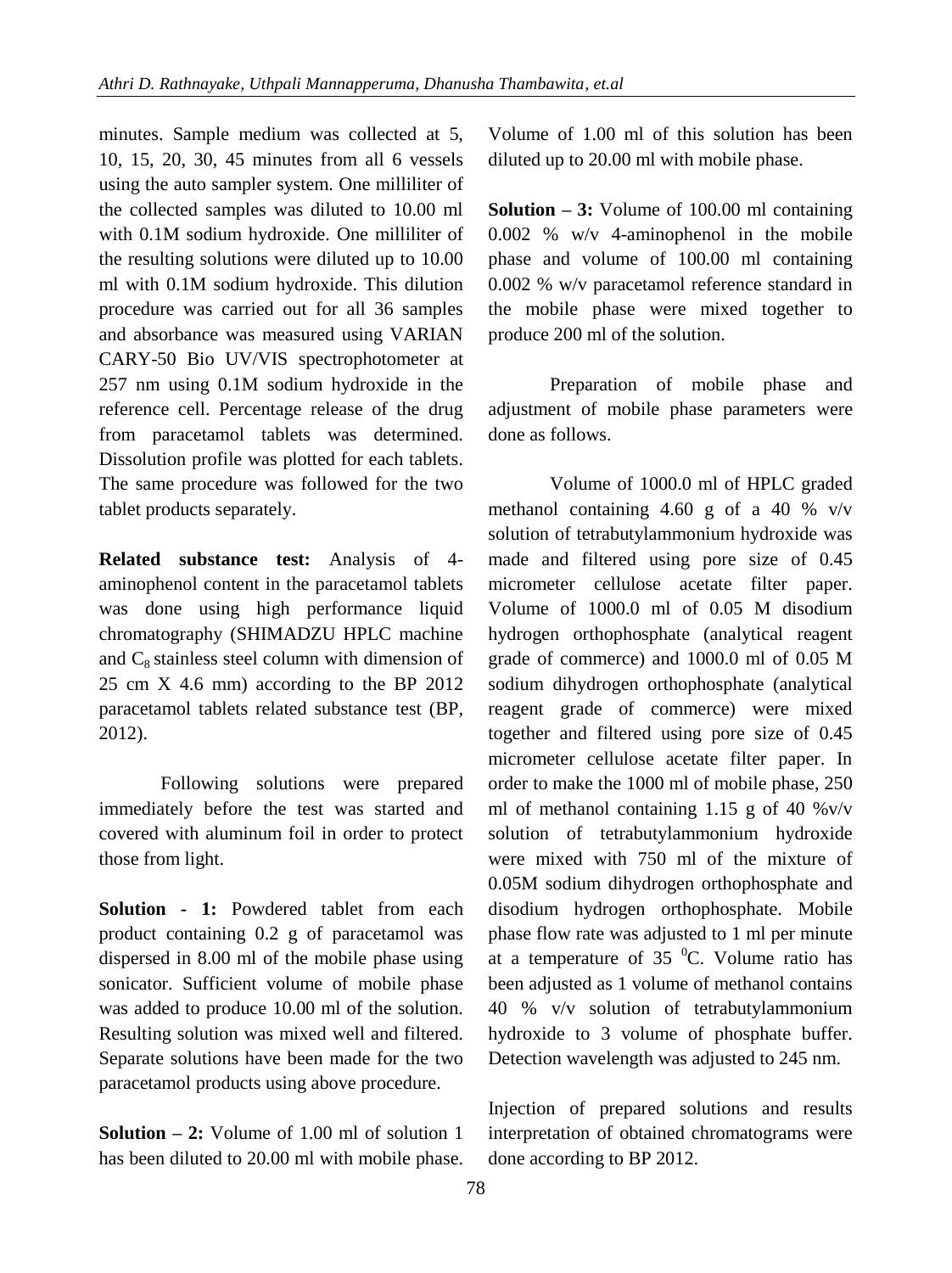minutes. Sample medium was collected at 5, 10, 15, 20, 30, 45 minutes from all 6 vessels using the auto sampler system. One milliliter of the collected samples was diluted to 10.00 ml with 0.1M sodium hydroxide. One milliliter of the resulting solutions were diluted up to 10.00 ml with 0.1M sodium hydroxide. This dilution procedure was carried out for all 36 samples and absorbance was measured using VARIAN CARY-50 Bio UV/VIS spectrophotometer at 257 nm using 0.1M sodium hydroxide in the reference cell. Percentage release of the drug from paracetamol tablets was determined. Dissolution profile was plotted for each tablets. The same procedure was followed for the two tablet products separately.

**Related substance test:** Analysis of 4 aminophenol content in the paracetamol tablets was done using high performance liquid chromatography (SHIMADZU HPLC machine and  $C_8$  stainless steel column with dimension of 25 cm X 4.6 mm) according to the BP 2012 paracetamol tablets related substance test (BP, 2012).

Following solutions were prepared immediately before the test was started and covered with aluminum foil in order to protect those from light.

**Solution - 1:** Powdered tablet from each product containing 0.2 g of paracetamol was dispersed in 8.00 ml of the mobile phase using sonicator. Sufficient volume of mobile phase was added to produce 10.00 ml of the solution. Resulting solution was mixed well and filtered. Separate solutions have been made for the two paracetamol products using above procedure.

**Solution – 2:** Volume of 1.00 ml of solution 1 has been diluted to 20.00 ml with mobile phase. Volume of 1.00 ml of this solution has been diluted up to 20.00 ml with mobile phase.

**Solution – 3:** Volume of 100.00 ml containing 0.002 % w/v 4-aminophenol in the mobile phase and volume of 100.00 ml containing 0.002 % w/v paracetamol reference standard in the mobile phase were mixed together to produce 200 ml of the solution.

Preparation of mobile phase and adjustment of mobile phase parameters were done as follows.

Volume of 1000.0 ml of HPLC graded methanol containing 4.60 g of a 40 %  $v/v$ solution of tetrabutylammonium hydroxide was made and filtered using pore size of 0.45 micrometer cellulose acetate filter paper. Volume of 1000.0 ml of 0.05 M disodium hydrogen orthophosphate (analytical reagent grade of commerce) and 1000.0 ml of 0.05 M sodium dihydrogen orthophosphate (analytical reagent grade of commerce) were mixed together and filtered using pore size of 0.45 micrometer cellulose acetate filter paper. In order to make the 1000 ml of mobile phase, 250 ml of methanol containing 1.15 g of 40  $\%$  v/v solution of tetrabutylammonium hydroxide were mixed with 750 ml of the mixture of 0.05M sodium dihydrogen orthophosphate and disodium hydrogen orthophosphate. Mobile phase flow rate was adjusted to 1 ml per minute at a temperature of 35  $^0$ C. Volume ratio has been adjusted as 1 volume of methanol contains 40 % v/v solution of tetrabutylammonium hydroxide to 3 volume of phosphate buffer. Detection wavelength was adjusted to 245 nm.

Injection of prepared solutions and results interpretation of obtained chromatograms were done according to BP 2012.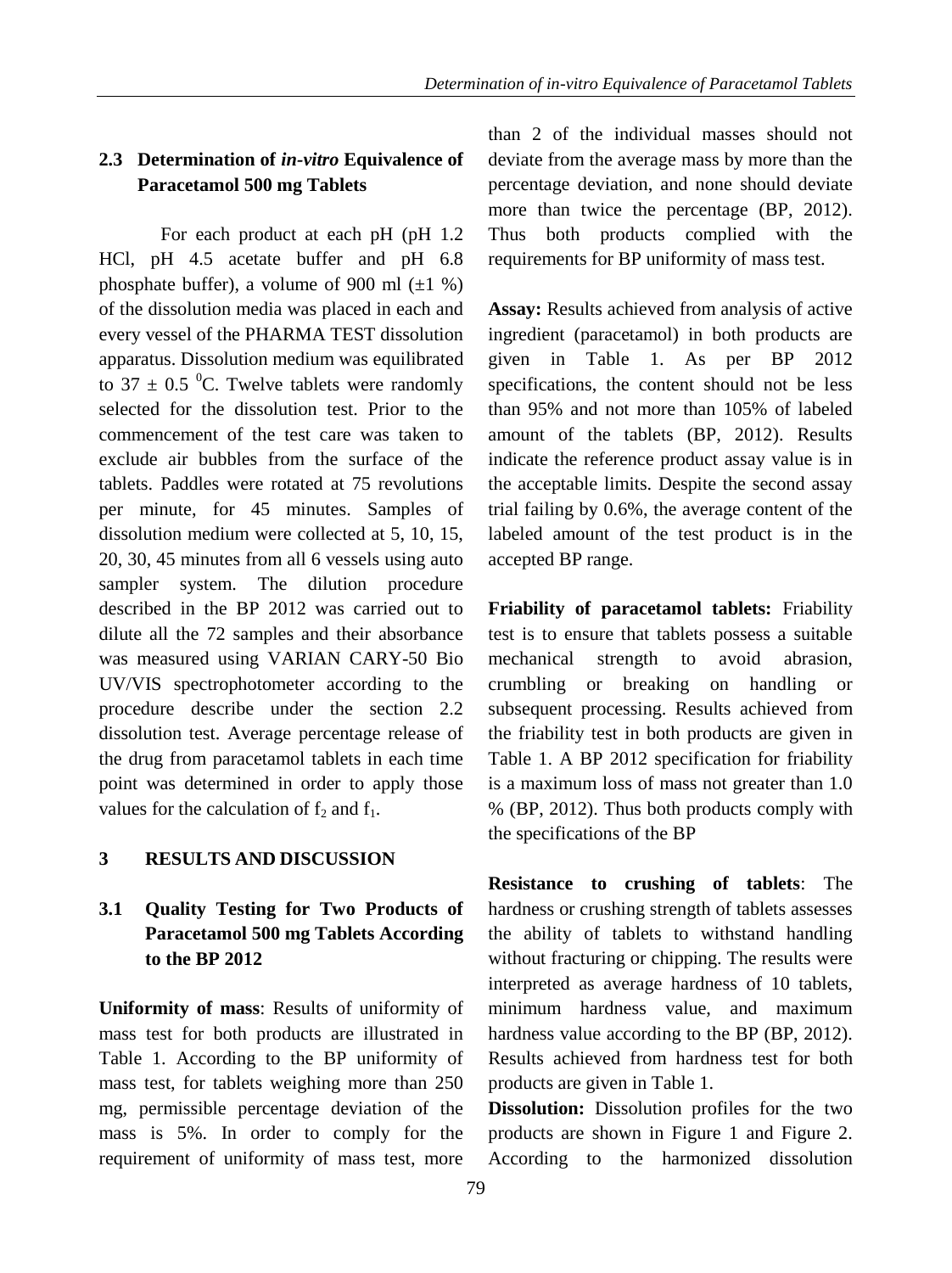# **2.3 Determination of** *in-vitro* **Equivalence of Paracetamol 500 mg Tablets**

For each product at each pH (pH 1.2 HCl, pH 4.5 acetate buffer and pH 6.8 phosphate buffer), a volume of 900 ml  $(\pm 1\%)$ of the dissolution media was placed in each and every vessel of the PHARMA TEST dissolution apparatus. Dissolution medium was equilibrated to 37  $\pm$  0.5 <sup>o</sup>C. Twelve tablets were randomly selected for the dissolution test. Prior to the commencement of the test care was taken to exclude air bubbles from the surface of the tablets. Paddles were rotated at 75 revolutions per minute, for 45 minutes. Samples of dissolution medium were collected at 5, 10, 15, 20, 30, 45 minutes from all 6 vessels using auto sampler system. The dilution procedure described in the BP 2012 was carried out to dilute all the 72 samples and their absorbance was measured using VARIAN CARY-50 Bio UV/VIS spectrophotometer according to the procedure describe under the section 2.2 dissolution test. Average percentage release of the drug from paracetamol tablets in each time point was determined in order to apply those values for the calculation of  $f_2$  and  $f_1$ .

# **3 RESULTS AND DISCUSSION**

# **3.1 Quality Testing for Two Products of Paracetamol 500 mg Tablets According to the BP 2012**

**Uniformity of mass**: Results of uniformity of mass test for both products are illustrated in Table 1. According to the BP uniformity of mass test, for tablets weighing more than 250 mg, permissible percentage deviation of the mass is 5%. In order to comply for the requirement of uniformity of mass test, more

than 2 of the individual masses should not deviate from the average mass by more than the percentage deviation, and none should deviate more than twice the percentage (BP, 2012). Thus both products complied with the requirements for BP uniformity of mass test.

**Assay:** Results achieved from analysis of active ingredient (paracetamol) in both products are given in Table 1. As per BP 2012 specifications, the content should not be less than 95% and not more than 105% of labeled amount of the tablets (BP, 2012). Results indicate the reference product assay value is in the acceptable limits. Despite the second assay trial failing by 0.6%, the average content of the labeled amount of the test product is in the accepted BP range.

**Friability of paracetamol tablets:** Friability test is to ensure that tablets possess a suitable mechanical strength to avoid abrasion, crumbling or breaking on handling or subsequent processing. Results achieved from the friability test in both products are given in Table 1. A BP 2012 specification for friability is a maximum loss of mass not greater than 1.0 % (BP, 2012). Thus both products comply with the specifications of the BP

**Resistance to crushing of tablets**: The hardness or crushing strength of tablets assesses the ability of tablets to withstand handling without fracturing or chipping. The results were interpreted as average hardness of 10 tablets, minimum hardness value, and maximum hardness value according to the BP (BP, 2012). Results achieved from hardness test for both products are given in Table 1.

**Dissolution:** Dissolution profiles for the two products are shown in Figure 1 and Figure 2. According to the harmonized dissolution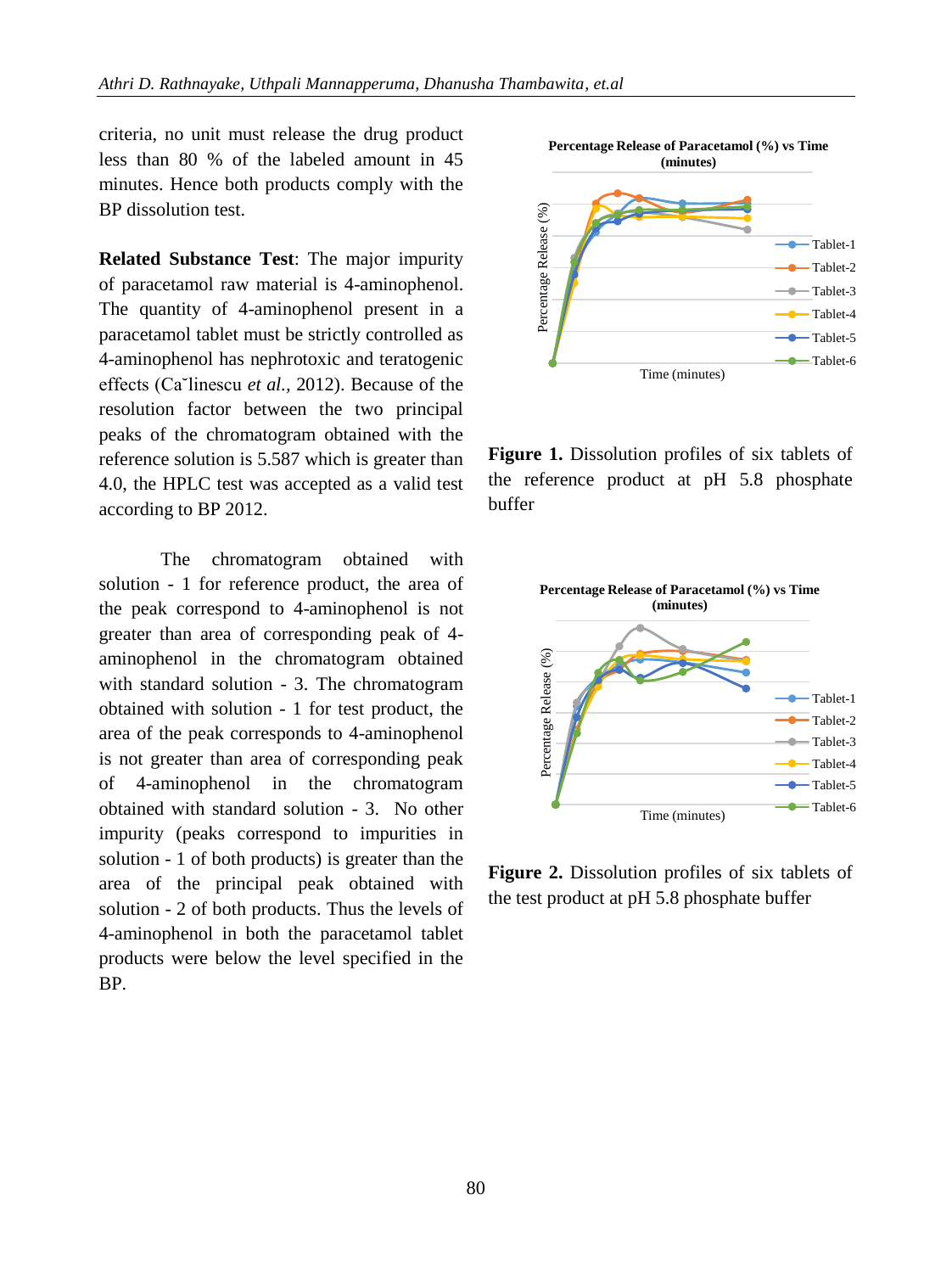criteria, no unit must release the drug product less than 80 % of the labeled amount in 45 minutes. Hence both products comply with the BP dissolution test.

**Related Substance Test**: The major impurity of paracetamol raw material is 4-aminophenol. The quantity of 4-aminophenol present in a paracetamol tablet must be strictly controlled as 4-aminophenol has nephrotoxic and teratogenic effects (Ca˘linescu *et al.,* 2012). Because of the resolution factor between the two principal peaks of the chromatogram obtained with the reference solution is 5.587 which is greater than 4.0, the HPLC test was accepted as a valid test according to BP 2012.

The chromatogram obtained with solution - 1 for reference product, the area of the peak correspond to 4-aminophenol is not greater than area of corresponding peak of 4 aminophenol in the chromatogram obtained with standard solution - 3. The chromatogram obtained with solution - 1 for test product, the area of the peak corresponds to 4-aminophenol is not greater than area of corresponding peak of 4-aminophenol in the chromatogram obtained with standard solution - 3. No other impurity (peaks correspond to impurities in solution - 1 of both products) is greater than the area of the principal peak obtained with solution - 2 of both products. Thus the levels of 4-aminophenol in both the paracetamol tablet products were below the level specified in the BP.



**Figure 1.** Dissolution profiles of six tablets of the reference product at pH 5.8 phosphate buffer



**Figure 2.** Dissolution profiles of six tablets of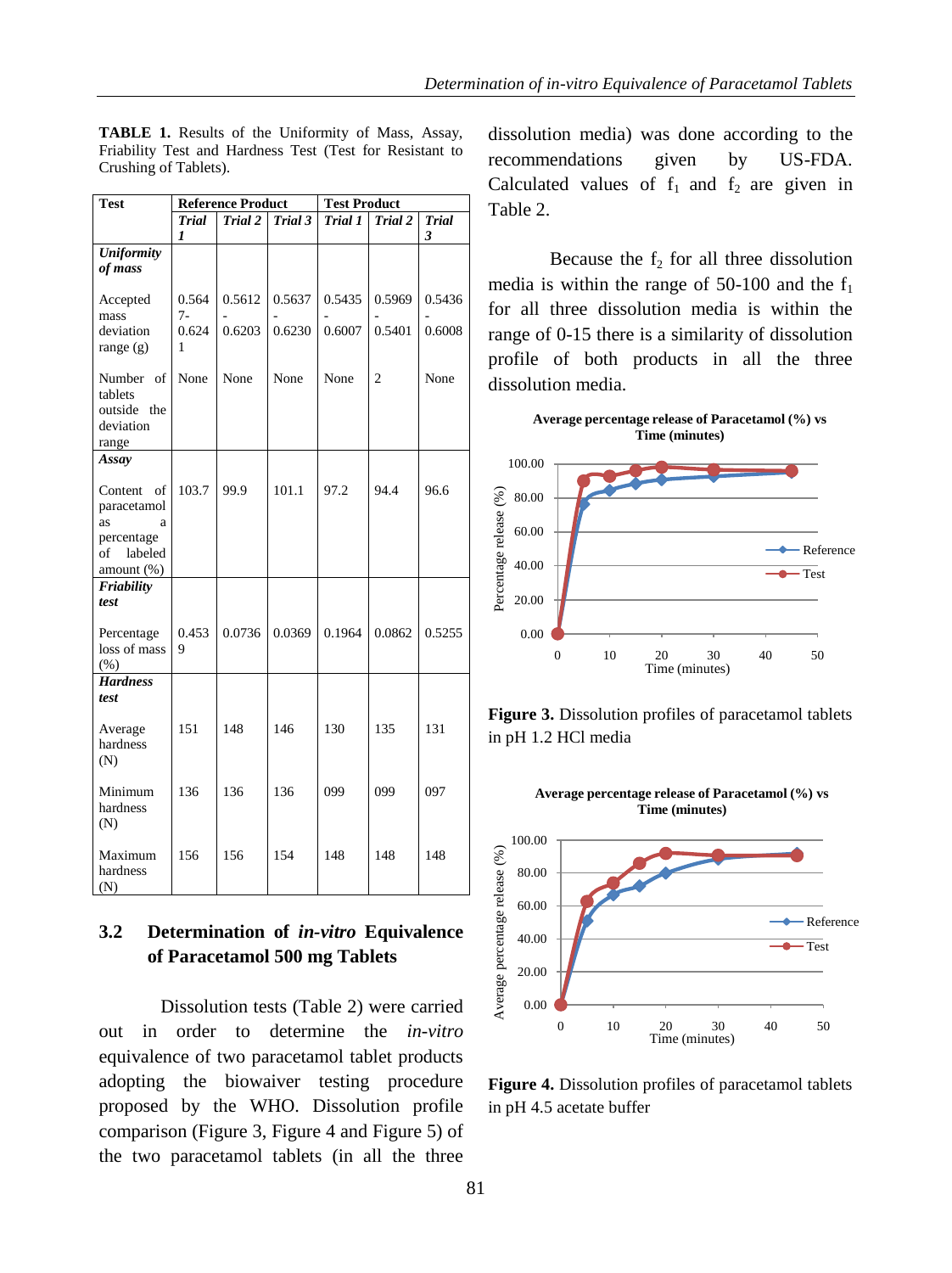| <b>Test</b>                                                                             | <b>Reference Product</b>    |                  |                  | <b>Test Product</b> |                  |                   |
|-----------------------------------------------------------------------------------------|-----------------------------|------------------|------------------|---------------------|------------------|-------------------|
|                                                                                         | <b>Trial</b><br>1           | Trial 2          | Trial 3          | Trial 1             | Trial 2          | <b>Trial</b><br>3 |
| <b>Uniformity</b><br>of mass                                                            |                             |                  |                  |                     |                  |                   |
| Accepted<br>mass<br>deviation<br>range $(g)$                                            | 0.564<br>$7-$<br>0.624<br>1 | 0.5612<br>0.6203 | 0.5637<br>0.6230 | 0.5435<br>0.6007    | 0.5969<br>0.5401 | 0.5436<br>0.6008  |
| Number of<br>tablets<br>outside<br>the<br>deviation<br>range                            | None                        | None             | None             | None                | $\overline{c}$   | None              |
| Assay                                                                                   |                             |                  |                  |                     |                  |                   |
| Content<br>οf<br>paracetamol<br>as<br>a<br>percentage<br>labeled<br>of<br>amount $(\%)$ | 103.7                       | 99.9             | 101.1            | 97.2                | 94.4             | 96.6              |
| Friability<br>test                                                                      |                             |                  |                  |                     |                  |                   |
| Percentage<br>loss of mass<br>(% )                                                      | 0.453<br>9                  | 0.0736           | 0.0369           | 0.1964              | 0.0862           | 0.5255            |
| <b>Hardness</b>                                                                         |                             |                  |                  |                     |                  |                   |
| test<br>Average<br>hardness<br>(N)                                                      | 151                         | 148              | 146              | 130                 | 135              | 131               |
| Minimum<br>hardness<br>(N)                                                              | 136                         | 136              | 136              | 099                 | 099              | 097               |
| Maximum<br>hardness<br>(N)                                                              | 156                         | 156              | 154              | 148                 | 148              | 148               |

**TABLE 1.** Results of the Uniformity of Mass, Assay, Friability Test and Hardness Test (Test for Resistant to Crushing of Tablets).

## **3.2 Determination of** *in-vitro* **Equivalence of Paracetamol 500 mg Tablets**

Dissolution tests (Table 2) were carried out in order to determine the *in-vitro*  equivalence of two paracetamol tablet products adopting the biowaiver testing procedure proposed by the WHO. Dissolution profile comparison (Figure 3, Figure 4 and Figure 5) of the two paracetamol tablets (in all the three

dissolution media) was done according to the recommendations given by US-FDA. Calculated values of  $f_1$  and  $f_2$  are given in Table 2.

Because the  $f_2$  for all three dissolution media is within the range of 50-100 and the  $f_1$ for all three dissolution media is within the range of 0-15 there is a similarity of dissolution profile of both products in all the three dissolution media.



**Figure 3.** Dissolution profiles of paracetamol tablets in pH 1.2 HCl media



**Figure 4.** Dissolution profiles of paracetamol tablets in pH 4.5 acetate buffer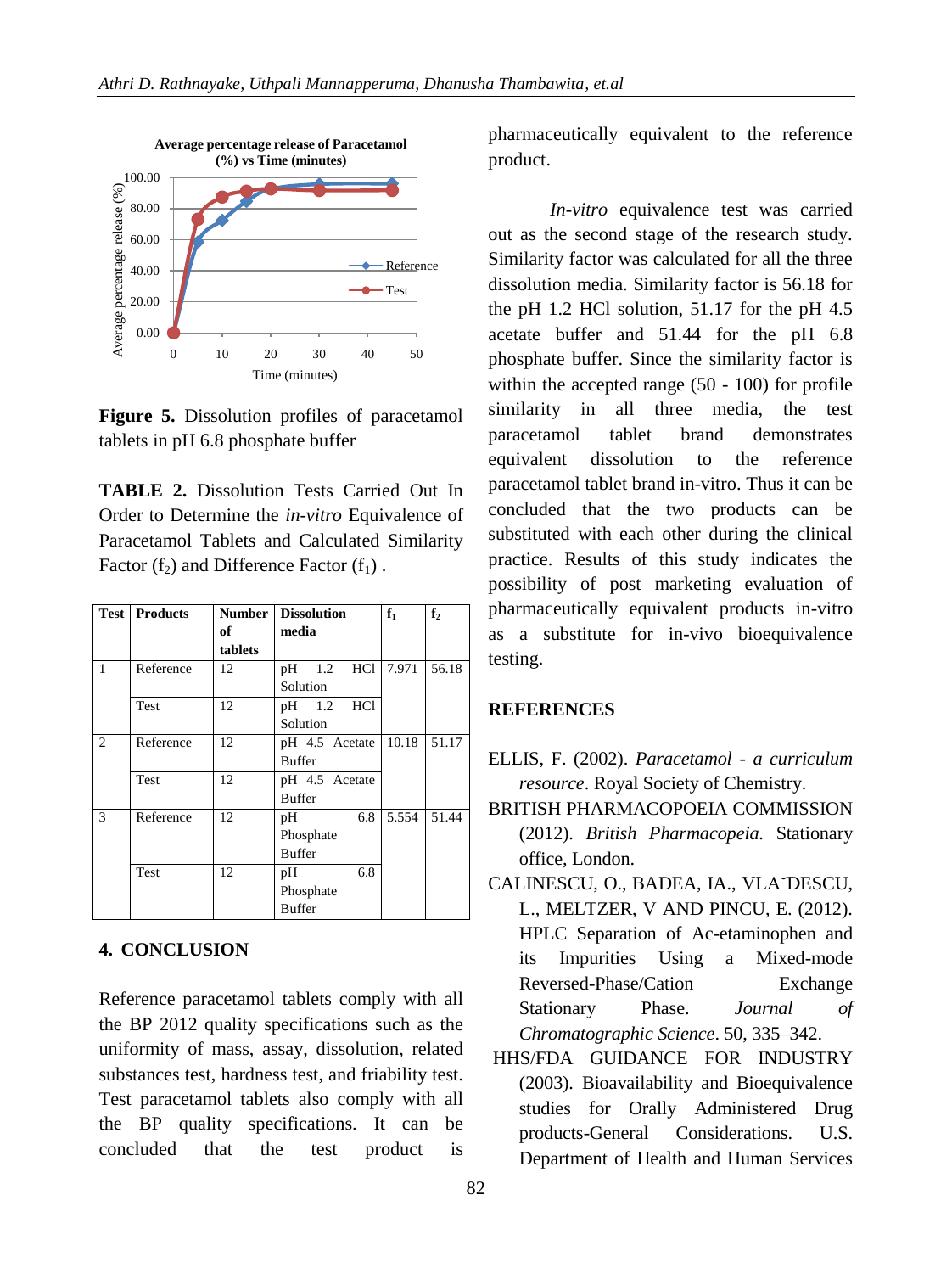

**Figure 5.** Dissolution profiles of paracetamol tablets in pH 6.8 phosphate buffer

**TABLE 2.** Dissolution Tests Carried Out In Order to Determine the *in-vitro* Equivalence of Paracetamol Tablets and Calculated Similarity Factor  $(f_2)$  and Difference Factor  $(f_1)$ .

|   | <b>Test   Products</b> |         | <b>Number   Dissolution</b> | $f_1$ | f <sub>2</sub> |
|---|------------------------|---------|-----------------------------|-------|----------------|
|   |                        | of      | media                       |       |                |
|   |                        | tablets |                             |       |                |
| 1 | Reference              | 12      | HC1<br>1.2<br>pH            | 7.971 | 56.18          |
|   |                        |         | Solution                    |       |                |
|   | <b>Test</b>            | 12      | pH 1.2 HCl                  |       |                |
|   |                        |         | Solution                    |       |                |
| 2 | Reference              | 12      | pH 4.5 Acetate              | 10.18 | 51.17          |
|   |                        |         | <b>Buffer</b>               |       |                |
|   | <b>Test</b>            | 12      | pH 4.5 Acetate              |       |                |
|   |                        |         | <b>Buffer</b>               |       |                |
| 3 | Reference              | 12      | 6.8<br>pH                   | 5.554 | 51.44          |
|   |                        |         | Phosphate                   |       |                |
|   | <b>Buffer</b>          |         |                             |       |                |
|   | <b>Test</b>            | 12      | 6.8<br>pH                   |       |                |
|   |                        |         | Phosphate                   |       |                |
|   |                        |         | <b>Buffer</b>               |       |                |

### **4. CONCLUSION**

Reference paracetamol tablets comply with all the BP 2012 quality specifications such as the uniformity of mass, assay, dissolution, related substances test, hardness test, and friability test. Test paracetamol tablets also comply with all the BP quality specifications. It can be concluded that the test product is pharmaceutically equivalent to the reference product.

*In-vitro* equivalence test was carried out as the second stage of the research study. Similarity factor was calculated for all the three dissolution media. Similarity factor is 56.18 for the pH 1.2 HCl solution, 51.17 for the pH 4.5 acetate buffer and 51.44 for the pH 6.8 phosphate buffer. Since the similarity factor is within the accepted range (50 - 100) for profile similarity in all three media, the test paracetamol tablet brand demonstrates equivalent dissolution to the reference paracetamol tablet brand in-vitro. Thus it can be concluded that the two products can be substituted with each other during the clinical practice. Results of this study indicates the possibility of post marketing evaluation of pharmaceutically equivalent products in-vitro as a substitute for in-vivo bioequivalence testing.

#### **REFERENCES**

- ELLIS, F. (2002). *Paracetamol - a curriculum resource*. Royal Society of Chemistry.
- BRITISH PHARMACOPOEIA COMMISSION (2012). *British Pharmacopeia.* Stationary office, London.
- CALINESCU, O., BADEA, IA., VLA˘DESCU, L., MELTZER, V AND PINCU, E. (2012). HPLC Separation of Ac-etaminophen and its Impurities Using a Mixed-mode Reversed-Phase/Cation Exchange Stationary Phase. *Journal of Chromatographic Science*. 50, 335–342.
- HHS/FDA GUIDANCE FOR INDUSTRY (2003). Bioavailability and Bioequivalence studies for Orally Administered Drug products-General Considerations. U.S. Department of Health and Human Services